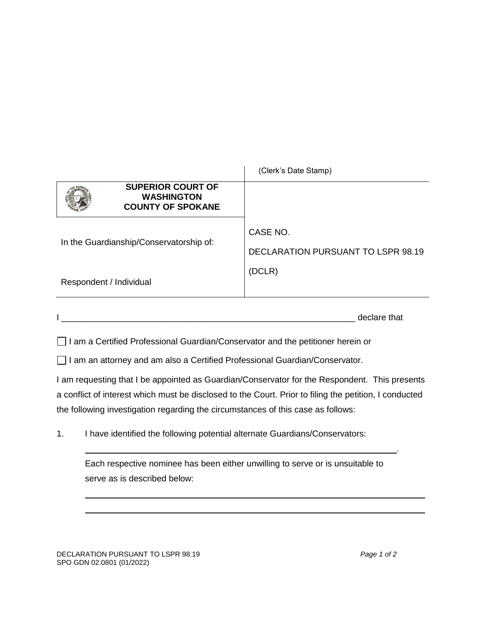| <b>SUPERIOR COURT OF</b><br><b>WASHINGTON</b><br><b>COUNTY OF SPOKANE</b><br>CASE NO.<br>In the Guardianship/Conservatorship of:<br>DECLARATION PURSUANT TO LSPR 98.19<br>(DCLR)<br>Respondent / Individual | (Clerk's Date Stamp) |
|-------------------------------------------------------------------------------------------------------------------------------------------------------------------------------------------------------------|----------------------|
|                                                                                                                                                                                                             |                      |
|                                                                                                                                                                                                             |                      |
|                                                                                                                                                                                                             |                      |

|  | dooloro that<br>Jaiu.<br> |
|--|---------------------------|
|  |                           |

 $\Box$  I am a Certified Professional Guardian/Conservator and the petitioner herein or

□ I am an attorney and am also a Certified Professional Guardian/Conservator.

I am requesting that I be appointed as Guardian/Conservator for the Respondent. This presents a conflict of interest which must be disclosed to the Court. Prior to filing the petition, I conducted the following investigation regarding the circumstances of this case as follows:

1. I have identified the following potential alternate Guardians/Conservators:

Each respective nominee has been either unwilling to serve or is unsuitable to serve as is described below:

.